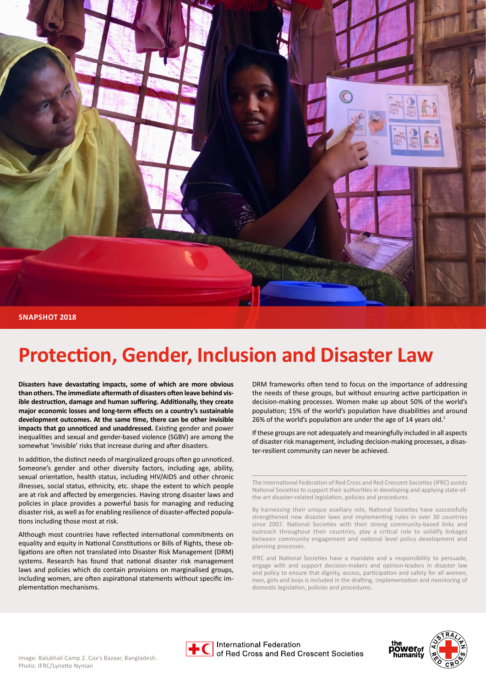

# **Protection, Gender, Inclusion and Disaster Law**

**Disasters have devastating impacts, some of which are more obvious than others. The immediate aftermath of disasters often leave behind visible destruction, damage and human suffering. Additionally, they create major economic losses and long-term effects on a country's sustainable development outcomes. At the same time, there can be other invisible impacts that go unnoticed and unaddressed.** Existing gender and power inequalities and sexual and gender-based violence (SGBV) are among the somewhat 'invisible' risks that increase during and after disasters.

In addition, the distinct needs of marginalized groups often go unnoticed. Someone's gender and other diversity factors, including age, ability, sexual orientation, health status, including HIV/AIDS and other chronic illnesses, social status, ethnicity, etc. shape the extent to which people are at risk and affected by emergencies. Having strong disaster laws and policies in place provides a powerful basis for managing and reducing disaster risk, as well as for enabling resilience of disaster-affected populations including those most at risk.

Although most countries have reflected international commitments on equality and equity in National Constitutions or Bills of Rights, these obligations are often not translated into Disaster Risk Management (DRM) systems. Research has found that national disaster risk management laws and policies which do contain provisions on marginalised groups, including women, are often aspirational statements without specific implementation mechanisms.

DRM frameworks often tend to focus on the importance of addressing the needs of these groups, but without ensuring active participation in decision-making processes. Women make up about 50% of the world's population; 15% of the world's population have disabilities and around 26% of the world's population are under the age of 14 years old. $1$ 

If these groups are not adequately and meaningfully included in all aspects of disaster risk management, including decision-making processes, a disaster-resilient community can never be achieved.

The International Federation of Red Cross and Red Crescent Societies (IFRC) assists National Societies to support their authorities in developing and applying state-ofthe-art disaster-related legislation, policies and procedures.

By harnessing their unique auxiliary role, National Societies have successfully strengthened new disaster laws and implementing rules in over 30 countries since 2007. National Societies with their strong community-based links and outreach throughout their countries, play a critical role to solidify linkages between community engagement and national level policy development and planning processes.

IFRC and National Societies have a mandate and a responsibility to persuade, engage with and support decision-makers and opinion-leaders in disaster law and policy to ensure that dignity, access, participation and safety for all women, men, girls and boys is included in the drafting, implementation and monitoring of domestic legislation, policies and procedures.



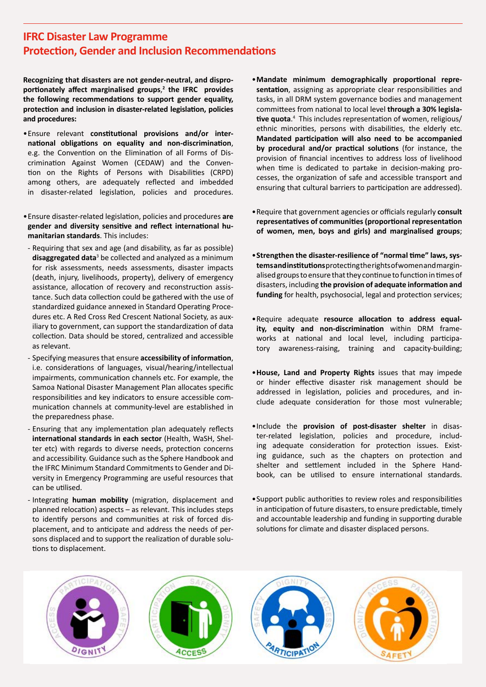## **IFRC Disaster Law Programme Protection, Gender and Inclusion Recommendations**

**Recognizing that disasters are not gender-neutral, and disproportionately affect marginalised groups**, **2 the IFRC provides the following recommendations to support gender equality, protection and inclusion in disaster-related legislation, policies and procedures:**

- •Ensure relevant **constitutional provisions and/or international obligations on equality and non-discrimination**, e.g. the Convention on the Elimination of all Forms of Discrimination Against Women (CEDAW) and the Convention on the Rights of Persons with Disabilities (CRPD) among others, are adequately reflected and imbedded in disaster-related legislation, policies and procedures.
- •Ensure disaster-related legislation, policies and procedures **are gender and diversity sensitive and reflect international humanitarian standards**. This includes:
- Requiring that sex and age (and disability, as far as possible) **disaggregated data**<sup>3</sup> be collected and analyzed as a minimum for risk assessments, needs assessments, disaster impacts (death, injury, livelihoods, property), delivery of emergency assistance, allocation of recovery and reconstruction assistance. Such data collection could be gathered with the use of standardized guidance annexed in Standard Operating Procedures etc. A Red Cross Red Crescent National Society, as auxiliary to government, can support the standardization of data collection. Data should be stored, centralized and accessible as relevant.
- Specifying measures that ensure **accessibility of information**, i.e. considerations of languages, visual/hearing/intellectual impairments, communication channels etc. For example, the Samoa National Disaster Management Plan allocates specific responsibilities and key indicators to ensure accessible communication channels at community-level are established in the preparedness phase.
- Ensuring that any implementation plan adequately reflects **international standards in each sector** (Health, WaSH, Shelter etc) with regards to diverse needs, protection concerns and accessibility. Guidance such as the Sphere Handbook and the IFRC Minimum Standard Commitments to Gender and Diversity in Emergency Programming are useful resources that can be utilised.
- Integrating **human mobility** (migration, displacement and planned relocation) aspects – as relevant. This includes steps to identify persons and communities at risk of forced displacement, and to anticipate and address the needs of persons displaced and to support the realization of durable solutions to displacement.
- •**Mandate minimum demographically proportional representation**, assigning as appropriate clear responsibilities and tasks, in all DRM system governance bodies and management committees from national to local level **through a 30% legislative quota**. 4 This includes representation of women, religious/ ethnic minorities, persons with disabilities, the elderly etc. **Mandated participation will also need to be accompanied by procedural and/or practical solutions** (for instance, the provision of financial incentives to address loss of livelihood when time is dedicated to partake in decision-making processes, the organization of safe and accessible transport and ensuring that cultural barriers to participation are addressed).
- •Require that government agencies or officials regularly **consult representatives of communities (proportional representation of women, men, boys and girls) and marginalised groups**;
- •**Strengthen the disaster-resilience of "normal time" laws, systems and institutions** protecting the rights of women and marginalised groups to ensure that they continue to function in times of disasters, including **the provision of adequate information and funding** for health, psychosocial, legal and protection services;
- •Require adequate **resource allocation to address equality, equity and non-discrimination** within DRM frameworks at national and local level, including participatory awareness-raising, training and capacity-building;
- •**House, Land and Property Rights** issues that may impede or hinder effective disaster risk management should be addressed in legislation, policies and procedures, and include adequate consideration for those most vulnerable;
- •Include the **provision of post-disaster shelter** in disaster-related legislation, policies and procedure, including adequate consideration for protection issues. Existing guidance, such as the chapters on protection and shelter and settlement included in the Sphere Handbook, can be utilised to ensure international standards.
- •Support public authorities to review roles and responsibilities in anticipation of future disasters, to ensure predictable, timely and accountable leadership and funding in supporting durable solutions for climate and disaster displaced persons.

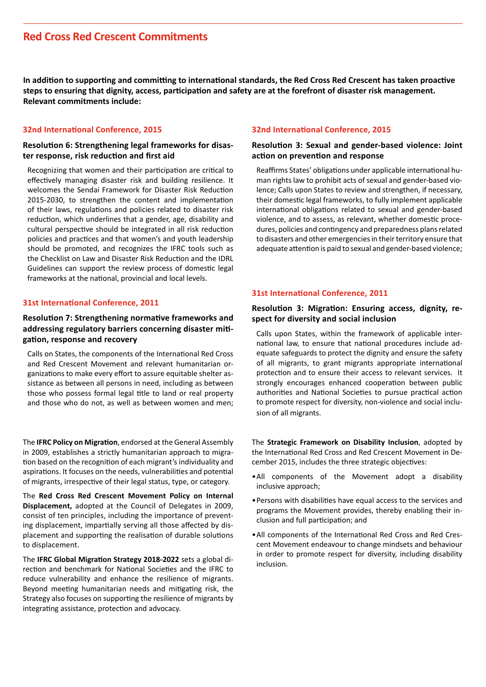## **Red Cross Red Crescent Commitments**

**In addition to supporting and committing to international standards, the Red Cross Red Crescent has taken proactive steps to ensuring that dignity, access, participation and safety are at the forefront of disaster risk management. Relevant commitments include:**

#### **32nd International Conference, 2015**

#### **[Resolution 6: Strengthening legal frameworks for disas](http://rcrcconference.org/wp-content/uploads/2015/04/32IC-Res6-legal-frameworks-for-disaster_EN.pdf)[ter response, risk reduction and first aid](http://rcrcconference.org/wp-content/uploads/2015/04/32IC-Res6-legal-frameworks-for-disaster_EN.pdf)**

Recognizing that women and their participation are critical to effectively managing disaster risk and building resilience. It welcomes the Sendai Framework for Disaster Risk Reduction 2015-2030, to strengthen the content and implementation of their laws, regulations and policies related to disaster risk reduction, which underlines that a gender, age, disability and cultural perspective should be integrated in all risk reduction policies and practices and that women's and youth leadership should be promoted, and recognizes the IFRC tools such as the Checklist on Law and Disaster Risk Reduction and the IDRL Guidelines can support the review process of domestic legal frameworks at the national, provincial and local levels.

#### **31st International Conference, 2011**

#### **[Resolution 7: Strengthening normative frameworks and](http://www.ifrc.org/PageFiles/139513/31IC_R7_disaster%20laws_adopted_12Dec_clean_EN.pdf)  [addressing regulatory barriers concerning disaster miti](http://www.ifrc.org/PageFiles/139513/31IC_R7_disaster%20laws_adopted_12Dec_clean_EN.pdf)[gation, response and recovery](http://www.ifrc.org/PageFiles/139513/31IC_R7_disaster%20laws_adopted_12Dec_clean_EN.pdf)**

Calls on States, the components of the International Red Cross and Red Crescent Movement and relevant humanitarian organizations to make every effort to assure equitable shelter assistance as between all persons in need, including as between those who possess formal legal title to land or real property and those who do not, as well as between women and men;

The **[IFRC Policy on Migration](http://media.ifrc.org/ifrc/wp-content/uploads/sites/5/2017/03/Migration-Policy_EN.pdf)**, endorsed at the General Assembly in 2009, establishes a strictly humanitarian approach to migration based on the recognition of each migrant's individuality and aspirations. It focuses on the needs, vulnerabilities and potential of migrants, irrespective of their legal status, type, or category.

The **[Red Cross Red Crescent Movement Policy on Internal](https://www.icrc.org/eng/assets/files/publications/icrc-002-1124.pdf)  [Displacement,](https://www.icrc.org/eng/assets/files/publications/icrc-002-1124.pdf)** adopted at the Council of Delegates in 2009, consist of ten principles, including the importance of preventing displacement, impartially serving all those affected by displacement and supporting the realisation of durable solutions to displacement.

The **[IFRC Global Migration Strategy 2018-2022](http://media.ifrc.org/ifrc/wp-content/uploads/sites/5/2017/12/IFRC_StrategyOnMigration_EN_20171222.pdf)** sets a global direction and benchmark for National Societies and the IFRC to reduce vulnerability and enhance the resilience of migrants. Beyond meeting humanitarian needs and mitigating risk, the Strategy also focuses on supporting the resilience of migrants by integrating assistance, protection and advocacy.

#### **32nd International Conference, 2015**

#### **[Resolution 3: Sexual and gender-based violence: Joint](http://rcrcconference.org/wp-content/uploads/2015/04/32IC-AR-on-Sexual-and-gender-based-violence_EN.pdf)  [action on prevention and response](http://rcrcconference.org/wp-content/uploads/2015/04/32IC-AR-on-Sexual-and-gender-based-violence_EN.pdf)**

Reaffirms States' obligations under applicable international human rights law to prohibit acts of sexual and gender-based violence; Calls upon States to review and strengthen, if necessary, their domestic legal frameworks, to fully implement applicable international obligations related to sexual and gender-based violence, and to assess, as relevant, whether domestic procedures, policies and contingency and preparedness plans related to disasters and other emergencies in their territory ensure that adequate attention is paid to sexual and gender-based violence;

#### **31st International Conference, 2011**

#### **Resolution 3: Migration: Ensuring access, dignity, respect for diversity and social inclusion**

Calls upon States, within the framework of applicable international law, to ensure that national procedures include adequate safeguards to protect the dignity and ensure the safety of all migrants, to grant migrants appropriate international protection and to ensure their access to relevant services. It strongly encourages enhanced cooperation between public authorities and National Societies to pursue practical action to promote respect for diversity, non-violence and social inclusion of all migrants.

The **[Strategic Framework on Disability Inclusion](http://rcrcconference.org/wp-content/uploads/2015/03/CoD15_disability_draft-0-resolution_20150916-EN.pdf )**, adopted by the International Red Cross and Red Crescent Movement in December 2015, includes the three strategic objectives:

- •All components of the Movement adopt a disability inclusive approach;
- •Persons with disabilities have equal access to the services and programs the Movement provides, thereby enabling their inclusion and full participation; and
- •All components of the International Red Cross and Red Crescent Movement endeavour to change mindsets and behaviour in order to promote respect for diversity, including disability inclusion.